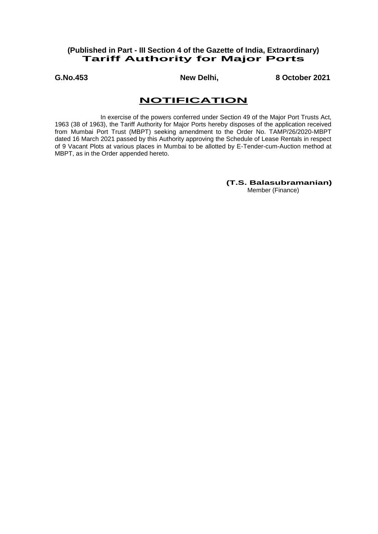## **(Published in Part - III Section 4 of the Gazette of India, Extraordinary) Tariff Authority for Major Ports**

**G.No.453 New Delhi, 8 October 2021**

# **NOTIFICATION**

In exercise of the powers conferred under Section 49 of the Major Port Trusts Act, 1963 (38 of 1963), the Tariff Authority for Major Ports hereby disposes of the application received from Mumbai Port Trust (MBPT) seeking amendment to the Order No. TAMP/26/2020-MBPT dated 16 March 2021 passed by this Authority approving the Schedule of Lease Rentals in respect of 9 Vacant Plots at various places in Mumbai to be allotted by E-Tender-cum-Auction method at MBPT, as in the Order appended hereto.

> **(T.S. Balasubramanian)** Member (Finance)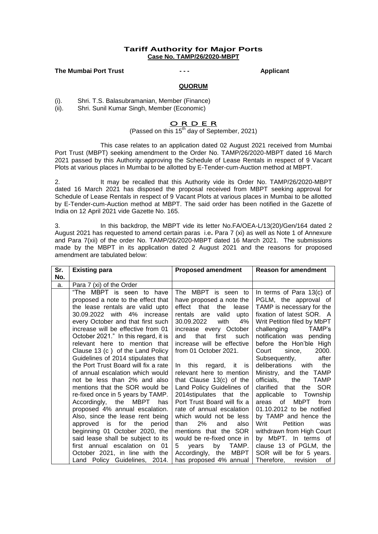## **Tariff Authority for Major Ports Case No. TAMP/26/2020-MBPT**

### **The Mumbai Port Trust - - - Applicant**

# j. **QUORUM**

(i). Shri. T.S. Balasubramanian, Member (Finance)

(ii). Shri. Sunil Kumar Singh, Member (Economic)

## O R D E R

(Passed on this  $15^{th}$  day of September, 2021)

This case relates to an application dated 02 August 2021 received from Mumbai Port Trust (MBPT) seeking amendment to the Order No. TAMP/26/2020-MBPT dated 16 March 2021 passed by this Authority approving the Schedule of Lease Rentals in respect of 9 Vacant Plots at various places in Mumbai to be allotted by E-Tender-cum-Auction method at MBPT.

2. It may be recalled that this Authority vide its Order No. TAMP/26/2020-MBPT dated 16 March 2021 has disposed the proposal received from MBPT seeking approval for Schedule of Lease Rentals in respect of 9 Vacant Plots at various places in Mumbai to be allotted by E-Tender-cum-Auction method at MBPT. The said order has been notified in the Gazette of India on 12 April 2021 vide Gazette No. 165.

3. In this backdrop, the MBPT vide its letter No.FA/OEA-L/13(20)/Gen/164 dated 2 August 2021 has requested to amend certain paras i.e**.** Para 7 (xi) as well as Note 1 of Annexure and Para 7(xii) of the order No. TAMP/26/2020-MBPT dated 16 March 2021. The submissions made by the MBPT in its application dated 2 August 2021 and the reasons for proposed amendment are tabulated below:

| Sr. | <b>Existing para</b>                 | <b>Proposed amendment</b>    | <b>Reason for amendment</b>      |
|-----|--------------------------------------|------------------------------|----------------------------------|
| No. |                                      |                              |                                  |
| a.  | Para 7 (xi) of the Order             |                              |                                  |
|     | "The MBPT is seen to have            | The MBPT is seen to          | In terms of Para $13(c)$ of      |
|     | proposed a note to the effect that   | have proposed a note the     | PGLM, the approval of            |
|     | the lease rentals are valid upto     | effect that<br>lease<br>the  | TAMP is necessary for the        |
|     | 30.09.2022 with 4% increase          | rentals are<br>valid<br>upto | fixation of latest SOR. A        |
|     | every October and that first such    | 4%<br>30.09.2022<br>with     | Writ Petition filed by MbPT      |
|     | increase will be effective from 01   | increase every October       | challenging<br>TAMP's            |
|     | October 2021." In this regard, it is | first<br>that<br>such<br>and | notification was pending         |
|     | relevant here to mention that        | increase will be effective   | before the Hon'ble High          |
|     | Clause 13 (c) of the Land Policy     | from 01 October 2021.        | Court<br>2000.<br>since,         |
|     | Guidelines of 2014 stipulates that   |                              | Subsequently,<br>after           |
|     | the Port Trust Board will fix a rate | this regard, it is<br>$\ln$  | deliberations with the           |
|     | of annual escalation which would     | relevant here to mention     | Ministry, and the TAMP           |
|     | not be less than 2% and also         | that Clause $13(c)$ of the   | officials,<br><b>TAMP</b><br>the |
|     | mentions that the SOR would be       | Land Policy Guidelines of    | clarified that the SOR           |
|     | re-fixed once in 5 years by TAMP.    | 2014stipulates that the      | applicable to Township           |
|     | Accordingly, the MBPT has            | Port Trust Board will fix a  | MbPT<br>areas of<br>from         |
|     | proposed 4% annual escalation.       | rate of annual escalation    | 01.10.2012 to be notified        |
|     | Also, since the lease rent being     | which would not be less      | by TAMP and hence the            |
|     | approved is for the period           | 2%<br>than<br>also<br>and    | Writ<br>Petition<br>was          |
|     | beginning 01 October 2020, the       | mentions that the SOR        | withdrawn from High Court        |
|     | said lease shall be subject to its   | would be re-fixed once in    | by MbPT. In terms of             |
|     | first annual escalation on 01        | by<br>TAMP.<br>5<br>years    | clause 13 of PGLM, the           |
|     | October 2021, in line with the       | Accordingly, the MBPT        | SOR will be for 5 years.         |
|     | Land Policy Guidelines, 2014.        | has proposed 4% annual       | Therefore, revision<br>of        |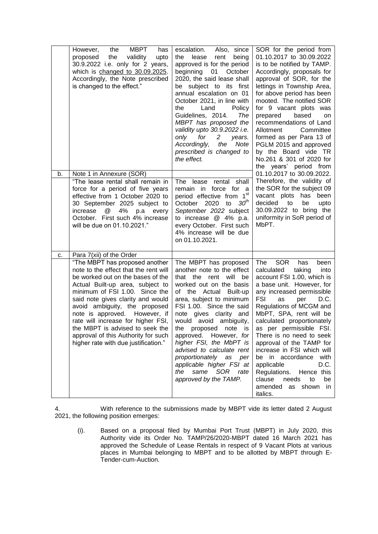|    | <b>MBPT</b><br>the<br>However,<br>has<br>the<br>proposed<br>validity<br>upto<br>30.9.2022 i.e. only for 2 years,<br>which is changed to 30.09.2025.<br>Accordingly, the Note prescribed<br>is changed to the effect."                                                                                                                                                                                           | escalation.<br>Also, since<br>lease<br>rent<br>the<br>being<br>approved is for the period<br>beginning 01<br>October<br>2020, the said lease shall<br>be subject to its first<br>annual escalation on 01<br>October 2021, in line with<br>the<br>Land<br>Policy<br>Guidelines, 2014.<br>The<br>MBPT has proposed the<br>validity upto 30.9.2022 i.e.<br>for<br>$\mathbf{2}$<br>only<br>years.<br>Accordingly,<br>the<br>Note<br>prescribed is changed to<br>the effect. | SOR for the period from<br>01.10.2017 to 30.09.2022<br>is to be notified by TAMP.<br>Accordingly, proposals for<br>approval of SOR, for the<br>lettings in Township Area,<br>for above period has been<br>mooted. The notified SOR<br>for 9 vacant plots was<br>based<br>prepared<br>on<br>recommendations of Land<br>Allotment<br>Committee<br>formed as per Para 13 of<br>PGLM 2015 and approved<br>by the Board vide TR<br>No.261 & 301 of 2020 for<br>the years' period from                         |
|----|-----------------------------------------------------------------------------------------------------------------------------------------------------------------------------------------------------------------------------------------------------------------------------------------------------------------------------------------------------------------------------------------------------------------|-------------------------------------------------------------------------------------------------------------------------------------------------------------------------------------------------------------------------------------------------------------------------------------------------------------------------------------------------------------------------------------------------------------------------------------------------------------------------|----------------------------------------------------------------------------------------------------------------------------------------------------------------------------------------------------------------------------------------------------------------------------------------------------------------------------------------------------------------------------------------------------------------------------------------------------------------------------------------------------------|
| b. | Note 1 in Annexure (SOR)<br>"The lease rental shall remain in<br>force for a period of five years<br>effective from 1 October 2020 to<br>30 September 2025 subject to<br>@<br>4%<br>increase<br>p.a<br>every<br>October. First such 4% increase<br>will be due on 01.10.2021."                                                                                                                                  | rental shall<br>The lease<br>remain in force for<br>- a<br>period effective from 1st<br>30 <sup>th</sup><br>October 2020 to<br>September 2022 subject<br>to increase @ 4% p.a.<br>every October. First such<br>4% increase will be due<br>on 01.10.2021.                                                                                                                                                                                                                | 01.10.2017 to 30.09.2022.<br>Therefore, the validity of<br>the SOR for the subject 09<br>vacant plots has been<br>decided<br>to<br>be<br>upto<br>30.09.2022 to bring the<br>uniformity in SoR period of<br>MbPT.                                                                                                                                                                                                                                                                                         |
| c. | Para 7(xii) of the Order<br>"The MBPT has proposed another                                                                                                                                                                                                                                                                                                                                                      | The MBPT has proposed                                                                                                                                                                                                                                                                                                                                                                                                                                                   | <b>SOR</b><br>The<br>has<br>been                                                                                                                                                                                                                                                                                                                                                                                                                                                                         |
|    | note to the effect that the rent will<br>be worked out on the bases of the<br>Actual Built-up area, subject to<br>minimum of FSI 1.00. Since the<br>said note gives clarity and would<br>avoid ambiguity, the proposed<br>note is approved. However, if<br>rate will increase for higher FSI,<br>the MBPT is advised to seek the<br>approval of this Authority for such<br>higher rate with due justification." | another note to the effect<br>that the rent will<br>be<br>worked out on the basis<br>of the Actual Built-up<br>area, subject to minimum<br>FSI 1.00. Since the said<br>note gives clarity and<br>would avoid ambiguity,<br>the proposed note is<br>approved. However, for<br>higher FSI, the MbPT is<br>advised to calculate rent<br>proportionately as per<br>applicable higher FSI at<br>same<br>the<br>SOR<br>rate<br>approved by the TAMP.                          | calculated<br>taking<br>into<br>account FSI 1.00, which is<br>a base unit. However, for<br>any increased permissible<br>FSI<br>as<br>per<br>D.C.<br>Regulations of MCGM and<br>MbPT, SPA, rent will be<br>calculated proportionately<br>as per permissible FSI.<br>There is no need to seek<br>approval of the TAMP for<br>increase in FSI which will<br>with<br>be in accordance<br>D.C.<br>applicable<br>Regulations. Hence this<br>clause<br>needs<br>to<br>be<br>amended as shown<br>-in<br>italics. |

4. With reference to the submissions made by MBPT vide its letter dated 2 August 2021, the following position emerges:

(i). Based on a proposal filed by Mumbai Port Trust (MBPT) in July 2020, this Authority vide its Order No. TAMP/26/2020-MBPT dated 16 March 2021 has approved the Schedule of Lease Rentals in respect of 9 Vacant Plots at various places in Mumbai belonging to MBPT and to be allotted by MBPT through E-Tender-cum-Auction.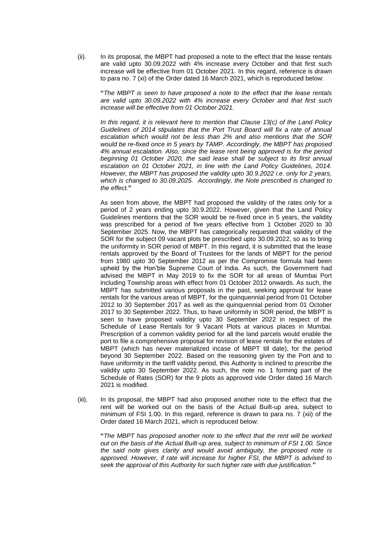(ii). In its proposal, the MBPT had proposed a note to the effect that the lease rentals are valid upto 30.09.2022 with 4% increase every October and that first such increase will be effective from 01 October 2021. In this regard, reference is drawn to para no. 7 (xi) of the Order dated 16 March 2021, which is reproduced below:

**"***The MBPT is seen to have proposed a note to the effect that the lease rentals are valid upto 30.09.2022 with 4% increase every October and that first such increase will be effective from 01 October 2021.*

*In this regard, it is relevant here to mention that Clause 13(c) of the Land Policy Guidelines of 2014 stipulates that the Port Trust Board will fix a rate of annual escalation which would not be less than 2% and also mentions that the SOR would be re-fixed once in 5 years by TAMP. Accordingly, the MBPT has proposed 4% annual escalation. Also, since the lease rent being approved is for the period beginning 01 October 2020, the said lease shall be subject to its first annual*  escalation on 01 October 2021, in line with the Land Policy Guidelines, 2014. *However, the MBPT has proposed the validity upto 30.9.2022 i.e. only for 2 years, which is changed to 30.09.2025. Accordingly, the Note prescribed is changed to the effect.***"**

As seen from above, the MBPT had proposed the validity of the rates only for a period of 2 years ending upto 30.9.2022. However, given that the Land Policy Guidelines mentions that the SOR would be re-fixed once in 5 years, the validity was prescribed for a period of five years effective from 1 October 2020 to 30 September 2025. Now, the MBPT has categorically requested that validity of the SOR for the subject 09 vacant plots be prescribed upto 30.09.2022, so as to bring the uniformity in SOR period of MBPT. In this regard, it is submitted that the lease rentals approved by the Board of Trustees for the lands of MBPT for the period from 1980 upto 30 September 2012 as per the Compromise formula had been upheld by the Hon'ble Supreme Court of India. As such, the Government had advised the MBPT in May 2019 to fix the SOR for all areas of Mumbai Port including Township areas with effect from 01 October 2012 onwards. As such, the MBPT has submitted various proposals in the past, seeking approval for lease rentals for the various areas of MBPT, for the quinquennial period from 01 October 2012 to 30 September 2017 as well as the quinquennial period from 01 October 2017 to 30 September 2022. Thus, to have uniformity in SOR period, the MBPT is seen to have proposed validity upto 30 September 2022 in respect of the Schedule of Lease Rentals for 9 Vacant Plots at various places in Mumbai. Prescription of a common validity period for all the land parcels would enable the port to file a comprehensive proposal for revision of lease rentals for the estates of MBPT (which has never materialized incase of MBPT till date), for the period beyond 30 September 2022. Based on the reasoning given by the Port and to have uniformity in the tariff validity period, this Authority is inclined to prescribe the validity upto 30 September 2022. As such, the note no. 1 forming part of the Schedule of Rates (SOR) for the 9 plots as approved vide Order dated 16 March 2021 is modified.

(iii). In its proposal, the MBPT had also proposed another note to the effect that the rent will be worked out on the basis of the Actual Built-up area, subject to minimum of FSI 1.00. In this regard, reference is drawn to para no. 7 (xii) of the Order dated 16 March 2021, which is reproduced below:

**"***The MBPT has proposed another note to the effect that the rent will be worked out on the basis of the Actual Built-up area, subject to minimum of FSI 1.00. Since the said note gives clarity and would avoid ambiguity, the proposed note is approved. However, if rate will increase for higher FSI, the MBPT is advised to seek the approval of this Authority for such higher rate with due justification.***"**